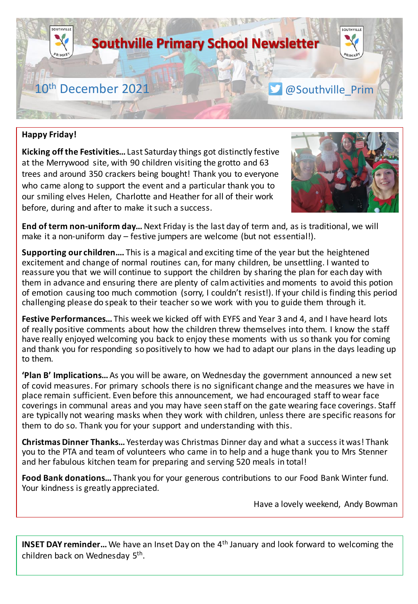

### **Happy Friday!**

**Kicking off the Festivities…** Last Saturday things got distinctly festive at the Merrywood site, with 90 children visiting the grotto and 63 trees and around 350 crackers being bought! Thank you to everyone who came along to support the event and a particular thank you to our smiling elves Helen, Charlotte and Heather for all of their work before, during and after to make it such a success.



**End of term non-uniform day…** Next Friday is the last day of term and, as is traditional, we will make it a non-uniform day – festive jumpers are welcome (but not essential!).

**Supporting our children….** This is a magical and exciting time of the year but the heightened excitement and change of normal routines can, for many children, be unsettling. I wanted to reassure you that we will continue to support the children by sharing the plan for each day with them in advance and ensuring there are plenty of calm activities and moments to avoid this potion of emotion causing too much commotion (sorry, I couldn't resist!). If your child is finding this period challenging please do speak to their teacher so we work with you to guide them through it.

**Festive Performances…** This week we kicked off with EYFS and Year 3 and 4, and I have heard lots of really positive comments about how the children threw themselves into them. I know the staff have really enjoyed welcoming you back to enjoy these moments with us so thank you for coming and thank you for responding so positively to how we had to adapt our plans in the days leading up to them.

**'Plan B' Implications…** As you will be aware, on Wednesday the government announced a new set of covid measures. For primary schools there is no significant change and the measures we have in place remain sufficient. Even before this announcement, we had encouraged staff to wear face coverings in communal areas and you may have seen staff on the gate wearing face coverings. Staff are typically not wearing masks when they work with children, unless there are specific reasons for them to do so. Thank you for your support and understanding with this.

**Christmas Dinner Thanks…** Yesterday was Christmas Dinner day and what a success it was! Thank you to the PTA and team of volunteers who came in to help and a huge thank you to Mrs Stenner and her fabulous kitchen team for preparing and serving 520 meals in total!

**Food Bank donations…** Thank you for your generous contributions to our Food Bank Winter fund. Your kindness is greatly appreciated.

Have a lovely weekend, Andy Bowman

**INSET DAY reminder...** We have an Inset Day on the 4<sup>th</sup> January and look forward to welcoming the children back on Wednesday 5<sup>th</sup>.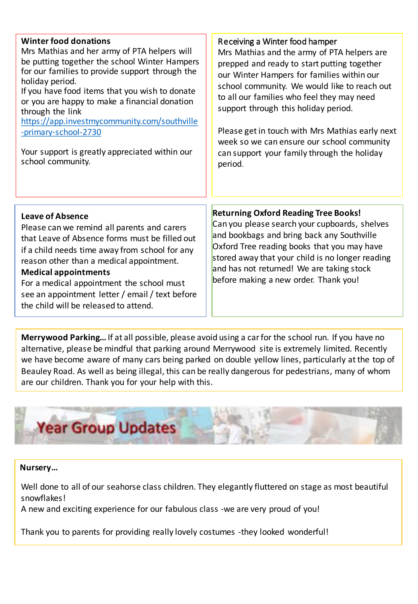| <b>Winter food donations</b><br>Mrs Mathias and her army of PTA helpers will<br>be putting together the school Winter Hampers<br>for our families to provide support through the<br>holiday period.<br>If you have food items that you wish to donate<br>or you are happy to make a financial donation<br>through the link<br>https://app.investmycommunity.com/southville<br>-primary-school-2730<br>Your support is greatly appreciated within our<br>school community. | Receiving a Winter food hamper<br>Mrs Mathias and the army of PTA helpers are<br>prepped and ready to start putting together<br>our Winter Hampers for families within our<br>school community. We would like to reach out<br>to all our families who feel they may need<br>support through this holiday period.<br>Please get in touch with Mrs Mathias early next<br>week so we can ensure our school community<br>can support your family through the holiday<br>period. |
|---------------------------------------------------------------------------------------------------------------------------------------------------------------------------------------------------------------------------------------------------------------------------------------------------------------------------------------------------------------------------------------------------------------------------------------------------------------------------|-----------------------------------------------------------------------------------------------------------------------------------------------------------------------------------------------------------------------------------------------------------------------------------------------------------------------------------------------------------------------------------------------------------------------------------------------------------------------------|
|                                                                                                                                                                                                                                                                                                                                                                                                                                                                           |                                                                                                                                                                                                                                                                                                                                                                                                                                                                             |
| Leave of Absence<br>Please can we remind all parents and carers<br>that Leave of Absence forms must be filled out<br>if a child needs time away from school for any<br>reason other than a medical appointment.<br><b>Medical appointments</b><br>For a medical appointment the school must<br>see an appointment letter / email / text before<br>the child will be released to attend.                                                                                   | <b>Returning Oxford Reading Tree Books!</b><br>Can you please search your cupboards, shelves<br>and bookbags and bring back any Southville<br>Oxford Tree reading books that you may have<br>stored away that your child is no longer reading<br>and has not returned! We are taking stock<br>before making a new order. Thank you!                                                                                                                                         |

**Merrywood Parking…** If at all possible, please avoid using a car for the school run. If you have no alternative, please be mindful that parking around Merrywood site is extremely limited. Recently we have become aware of many cars being parked on double yellow lines, particularly at the top of Beauley Road. As well as being illegal, this can be really dangerous for pedestrians, many of whom are our children. Thank you for your help with this.



# **Nursery…**

Well done to all of our seahorse class children. They elegantly fluttered on stage as most beautiful snowflakes!

A new and exciting experience for our fabulous class -we are very proud of you!

Thank you to parents for providing really lovely costumes -they looked wonderful!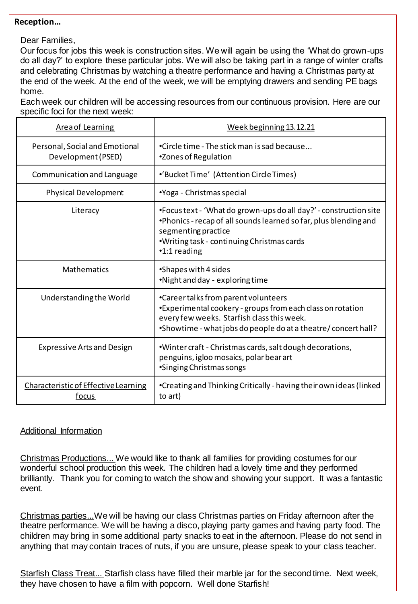#### **Reception…**

Dear Families,

Our focus for jobs this week is construction sites. We will again be using the 'What do grown-ups do all day?' to explore these particular jobs. We will also be taking part in a range of winter crafts and celebrating Christmas by watching a theatre performance and having a Christmas party at the end of the week. At the end of the week, we will be emptying drawers and sending PE bags home.

Each week our children will be accessing resources from our continuous provision. Here are our specific foci for the next week:

| <b>Area of Learning</b>                              | Week beginning 13.12.21                                                                                                                                                                                                     |
|------------------------------------------------------|-----------------------------------------------------------------------------------------------------------------------------------------------------------------------------------------------------------------------------|
| Personal, Social and Emotional<br>Development (PSED) | •Circle time - The stick man is sad because<br>*Zones of Regulation                                                                                                                                                         |
| Communication and Language                           | •'Bucket Time' (Attention Circle Times)                                                                                                                                                                                     |
| <b>Physical Development</b>                          | •Yoga - Christmas special                                                                                                                                                                                                   |
| Literacy                                             | •Focus text - 'What do grown-ups do all day?' - construction site<br>. Phonics - recap of all sounds learned so far, plus blending and<br>segmenting practice<br>.Writing task - continuing Christmas cards<br>•1:1 reading |
| Mathematics                                          | •Shapes with 4 sides<br>.Night and day - exploring time                                                                                                                                                                     |
| Understanding the World                              | •Career talks from parent volunteers<br>•Experimental cookery - groups from each class on rotation<br>every few weeks. Starfish class this week.<br>•Showtime - what jobs do people do at a theatre/concert hall?           |
| <b>Expressive Arts and Design</b>                    | .Winter craft - Christmas cards, salt dough decorations,<br>penguins, igloo mosaics, polar bear art<br>•Singing Christmas songs                                                                                             |
| Characteristic of Effective Learning<br>focus        | •Creating and Thinking Critically - having their own ideas (linked<br>to art)                                                                                                                                               |

# Additional Information

Christmas Productions... We would like to thank all families for providing costumes for our wonderful school production this week. The children had a lovely time and they performed brilliantly. Thank you for coming to watch the show and showing your support. It was a fantastic event.

Christmas parties...We will be having our class Christmas parties on Friday afternoon after the theatre performance. We will be having a disco, playing party games and having party food. The children may bring in some additional party snacks to eat in the afternoon. Please do not send in anything that may contain traces of nuts, if you are unsure, please speak to your class teacher.

Starfish Class Treat... Starfish class have filled their marble jar for the second time. Next week, they have chosen to have a film with popcorn. Well done Starfish!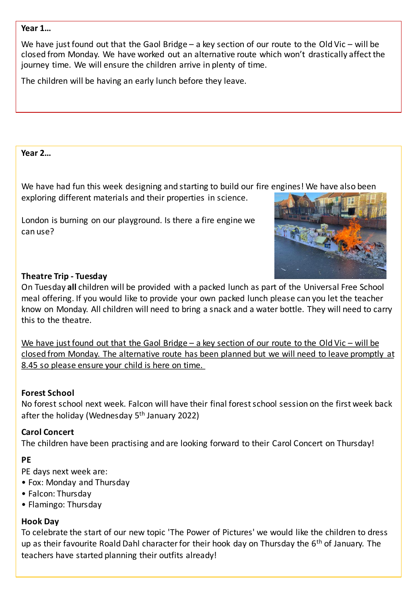### **Year 1…**

We have just found out that the Gaol Bridge – a key section of our route to the Old Vic – will be closed from Monday. We have worked out an alternative route which won't drastically affect the journey time. We will ensure the children arrive in plenty of time.

The children will be having an early lunch before they leave.

### **Year 2…**

We have had fun this week designing and starting to build our fire engines! We have also been

exploring different materials and their properties in science.

London is burning on our playground. Is there a fire engine we can use?



### **Theatre Trip - Tuesday**

On Tuesday **all** children will be provided with a packed lunch as part of the Universal Free School meal offering. If you would like to provide your own packed lunch please can you let the teacher know on Monday. All children will need to bring a snack and a water bottle. They will need to carry this to the theatre.

We have just found out that the Gaol Bridge – a key section of our route to the Old Vic – will be closed from Monday. The alternative route has been planned but we will need to leave promptly at 8.45 so please ensure your child is here on time.

# **Forest School**

No forest school next week. Falcon will have their final forest school session on the first week back after the holiday (Wednesday 5<sup>th</sup> January 2022)

# **Carol Concert**

The children have been practising and are looking forward to their Carol Concert on Thursday!

# **PE**

PE days next week are:

- Fox: Monday and Thursday
- Falcon: Thursday
- Flamingo: Thursday

# **Hook Day**

To celebrate the start of our new topic 'The Power of Pictures' we would like the children to dress up as their favourite Roald Dahl character for their hook day on Thursday the 6<sup>th</sup> of January. The teachers have started planning their outfits already!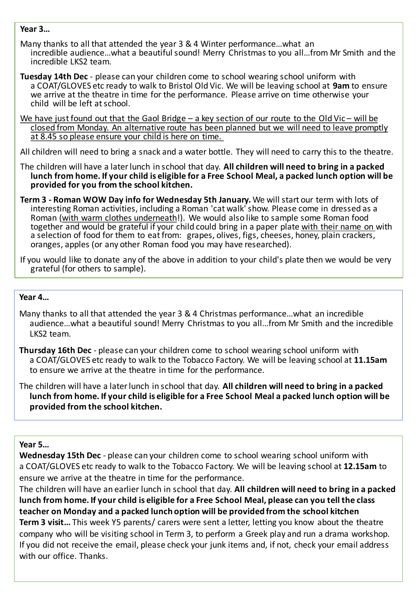#### **Year 3…**

Many thanks to all that attended the year 3 & 4 Winter performance…what an incredible audience…what a beautiful sound! Merry Christmas to you all…from Mr Smith and the incredible LKS2 team.

**Tuesday 14th Dec** - please can your children come to school wearing school uniform with a COAT/GLOVES etc ready to walk to Bristol Old Vic. We will be leaving school at **9am** to ensure we arrive at the theatre in time for the performance. Please arrive on time otherwise your child will be left at school.

We have just found out that the Gaol Bridge – a key section of our route to the Old Vic – will be closed from Monday. An alternative route has been planned but we will need to leave promptly at 8.45 so please ensure your child is here on time.

All children will need to bring a snack and a water bottle. They will need to carry this to the theatre.

The children will have a later lunch in school that day. **All children will need to bring in a packed lunch from home. If your child is eligible for a Free School Meal, a packed lunch option will be provided for you from the school kitchen.**

**Term 3 - Roman WOW Day info for Wednesday 5th January.** We will start our term with lots of interesting Roman activities, including a Roman 'cat walk' show. Please come in dressed as a Roman (with warm clothes underneath!). We would also like to sample some Roman food together and would be grateful if your child could bring in a paper plate with their name on with a selection of food for them to eat from: grapes, olives, figs, cheeses, honey, plain crackers, oranges, apples (or any other Roman food you may have researched).

If you would like to donate any of the above in addition to your child's plate then we would be very grateful (for others to sample).

### **Year 4…**

Many thanks to all that attended the year 3 & 4 Christmas performance…what an incredible audience...what a beautiful sound! Merry Christmas to you all...from Mr Smith and the incredible LKS2 team.

**Thursday 16th Dec** - please can your children come to school wearing school uniform with a COAT/GLOVES etc ready to walk to the Tobacco Factory. We will be leaving school at **11.15am** to ensure we arrive at the theatre in time for the performance.

The children will have a later lunch in school that day. **All children will need to bring in a packed lunch from home. If your child is eligible for a Free School Meal a packed lunch option will be provided from the school kitchen.**

### **Year 5…**

**Wednesday 15th Dec** - please can your children come to school wearing school uniform with a COAT/GLOVES etc ready to walk to the Tobacco Factory. We will be leaving school at **12.15am** to ensure we arrive at the theatre in time for the performance.

The children will have an earlier lunch in school that day. **All children will need to bring in a packed lunch from home. If your child is eligible for a Free School Meal, please can you tell the class teacher on Monday and a packed lunch option will be provided from the school kitchen Term 3 visit…** This week Y5 parents/ carers were sent a letter, letting you know about the theatre company who will be visiting school in Term 3, to perform a Greek play and run a drama workshop. If you did not receive the email, please check your junk items and, if not, check your email address with our office. Thanks.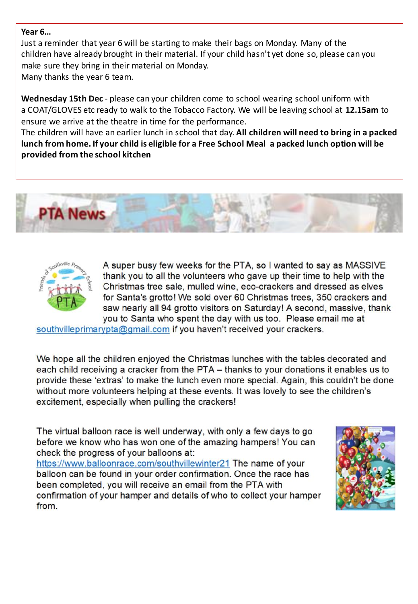### **Year 6…**

Just a reminder that year 6 will be starting to make their bags on Monday. Many of the children have already brought in their material. If your child hasn't yet done so, please can you make sure they bring in their material on Monday. Many thanks the year 6 team.

**Wednesday 15th Dec** - please can your children come to school wearing school uniform with a COAT/GLOVES etc ready to walk to the Tobacco Factory. We will be leaving school at **12.15am** to ensure we arrive at the theatre in time for the performance.

The children will have an earlier lunch in school that day. **All children will need to bring in a packed lunch from home. If your child is eligible for a Free School Meal a packed lunch option will be provided from the school kitchen**





A super busy few weeks for the PTA, so I wanted to say as MASSIVE thank you to all the volunteers who gave up their time to help with the Christmas tree sale, mulled wine, eco-crackers and dressed as elves for Santa's grotto! We sold over 60 Christmas trees, 350 crackers and saw nearly all 94 grotto visitors on Saturday! A second, massive, thank you to Santa who spent the day with us too. Please email me at

southvilleprimarypta@gmail.com if you haven't received your crackers.

We hope all the children enjoyed the Christmas lunches with the tables decorated and each child receiving a cracker from the PTA - thanks to your donations it enables us to provide these 'extras' to make the lunch even more special. Again, this couldn't be done without more volunteers helping at these events. It was lovely to see the children's excitement, especially when pulling the crackers!

The virtual balloon race is well underway, with only a few days to go before we know who has won one of the amazing hampers! You can check the progress of your balloons at:

https://www.balloonrace.com/southvillewinter21 The name of your balloon can be found in your order confirmation. Once the race has been completed, you will receive an email from the PTA with confirmation of your hamper and details of who to collect your hamper from.